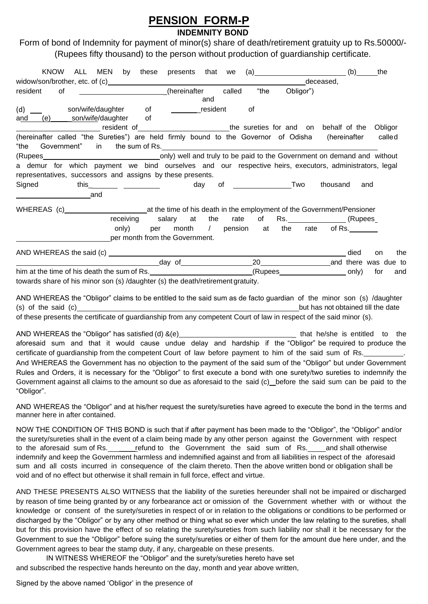## **PENSION FORM-P**

## **INDEMNITY BOND**

Form of bond of Indemnity for payment of minor(s) share of death/retirement gratuity up to Rs.50000/- (Rupees fifty thousand) to the person without production of guardianship certificate.

| <b>KNOW</b>                                                                                                                                                                                            | ALL MEN by these presents that we                  |     |     |      | $\left( a\right)$ | (b)                                    | the              |
|--------------------------------------------------------------------------------------------------------------------------------------------------------------------------------------------------------|----------------------------------------------------|-----|-----|------|-------------------|----------------------------------------|------------------|
|                                                                                                                                                                                                        |                                                    |     |     |      |                   | deceased,                              |                  |
| resident<br>of                                                                                                                                                                                         | _________________________(hereinafter called       |     | and | "the | Obligor")         |                                        |                  |
| (d)<br>and                                                                                                                                                                                             | son/wife/daughter of resident                      |     |     | 0f   |                   |                                        |                  |
| ________________________________resident of_______________________________the sureties for and on behalf of the Obligor                                                                                |                                                    |     |     |      |                   |                                        |                  |
| (hereinafter called "the Sureties") are held firmly bound to the Governor of Odisha (hereinafter<br>Government" in the sum of Rs.<br>"the                                                              |                                                    |     |     |      |                   |                                        | called           |
| a demur for which payment we bind ourselves and our respective-heirs, executors, administrators, legal<br>representatives, successors and assigns by these presents.<br>Signed<br>and                  | this____________ ______________                    | day |     |      |                   | thousand                               | and              |
|                                                                                                                                                                                                        |                                                    |     |     |      |                   |                                        |                  |
|                                                                                                                                                                                                        | receiving salary at the rate of Rs. [2015] (Rupees |     |     |      |                   |                                        |                  |
|                                                                                                                                                                                                        | only)<br>per month from the Government.            |     |     |      |                   | per month / pension at the rate of Rs. |                  |
|                                                                                                                                                                                                        |                                                    |     |     |      |                   | died                                   | the<br><b>on</b> |
| day of 20 20 and there was due to                                                                                                                                                                      |                                                    |     |     |      |                   |                                        |                  |
|                                                                                                                                                                                                        |                                                    |     |     |      |                   |                                        | for<br>and       |
| towards share of his minor son (s) /daughter (s) the death/retirement gratuity.<br>AND WHEREAS the "Obligor" claims to be entitled to the said sum as de facto guardian of the minor son (s) /daughter |                                                    |     |     |      |                   |                                        |                  |

(s) of the said (c) contract the said (c) but has not obtained till the date of these presents the certificate of guardianship from any competent Court of law in respect of the said minor (s).

AND WHEREAS the "Obligor" has satisfied (d) &(e) \_ that he/she is entitled to the aforesaid sum and that it would cause undue delay and hardship if the "Obligor" be required to produce the certificate of guardianship from the competent Court of law before payment to him of the said sum of Rs. And WHEREAS the Government has no objection to the payment of the said sum of the "Obligor" but under Government Rules and Orders, it is necessary for the "Obligor" to first execute a bond with one surety/two sureties to indemnify the Government against all claims to the amount so due as aforesaid to the said (c) before the said sum can be paid to the "Obligor".

AND WHEREAS the "Obligor" and at his/her request the surety/sureties have agreed to execute the bond in the terms and manner here in after contained.

NOW THE CONDITION OF THIS BOND is such that if after payment has been made to the "Obligor", the "Obligor" and/or the surety/sureties shall in the event of a claim being made by any other person against the Government with respect to the aforesaid sum of Rs. \_\_\_\_\_\_\_refund to the Government the said sum of Rs. \_\_\_\_and shall otherwise indemnify and keep the Government harmless and indemnified against and from all liabilities in respect of the aforesaid sum and all costs incurred in consequence of the claim thereto. Then the above written bond or obligation shall be void and of no effect but otherwise it shall remain in full force, effect and virtue.

AND THESE PRESENTS ALSO WITNESS that the liability of the sureties hereunder shall not be impaired or discharged by reason of time being granted by or any forbearance act or omission of the Government whether with or without the knowledge or consent of the surety/sureties in respect of or in relation to the obligations or conditions to be performed or discharged by the "Obligor" or by any other method or thing what so ever which under the law relating to the sureties, shall but for this provision have the effect of so relating the surety/sureties from such liability nor shall it be necessary for the Government to sue the "Obligor" before suing the surety/sureties or either of them for the amount due here under, and the Government agrees to bear the stamp duty, if any, chargeable on these presents.

IN WITNESS WHEREOF the "Obligor" and the surety/sureties hereto have set and subscribed the respective hands hereunto on the day, month and year above written,

Signed by the above named 'Obligor' in the presence of